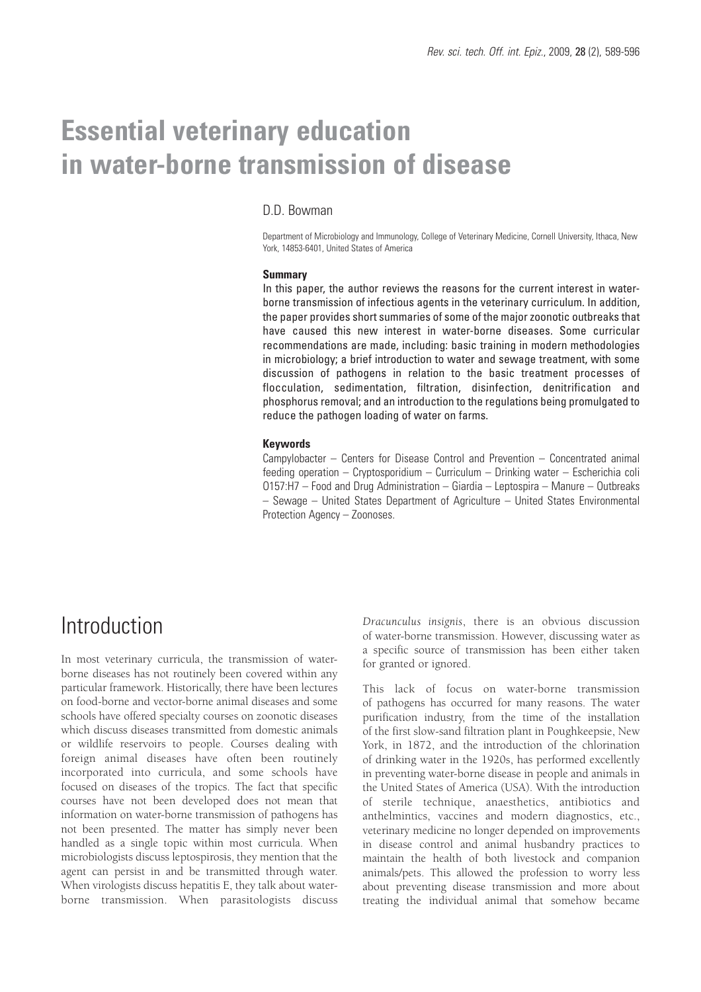# **Essential veterinary education in water-borne transmission of disease**

#### D.D. Bowman

Department of Microbiology and Immunology, College of Veterinary Medicine, Cornell University, Ithaca, New York, 14853-6401, United States of America

#### **Summary**

In this paper, the author reviews the reasons for the current interest in waterborne transmission of infectious agents in the veterinary curriculum. In addition, the paper provides short summaries of some of the major zoonotic outbreaks that have caused this new interest in water-borne diseases. Some curricular recommendations are made, including: basic training in modern methodologies in microbiology; a brief introduction to water and sewage treatment, with some discussion of pathogens in relation to the basic treatment processes of flocculation, sedimentation, filtration, disinfection, denitrification and phosphorus removal; and an introduction to the regulations being promulgated to reduce the pathogen loading of water on farms.

#### **Keywords**

Campylobacter – Centers for Disease Control and Prevention – Concentrated animal feeding operation – Cryptosporidium – Curriculum – Drinking water – Escherichia coli O157:H7 – Food and Drug Administration – Giardia – Leptospira – Manure – Outbreaks – Sewage – United States Department of Agriculture – United States Environmental Protection Agency – Zoonoses.

### **Introduction**

In most veterinary curricula, the transmission of waterborne diseases has not routinely been covered within any particular framework. Historically, there have been lectures on food-borne and vector-borne animal diseases and some schools have offered specialty courses on zoonotic diseases which discuss diseases transmitted from domestic animals or wildlife reservoirs to people. Courses dealing with foreign animal diseases have often been routinely incorporated into curricula, and some schools have focused on diseases of the tropics. The fact that specific courses have not been developed does not mean that information on water-borne transmission of pathogens has not been presented. The matter has simply never been handled as a single topic within most curricula. When microbiologists discuss leptospirosis, they mention that the agent can persist in and be transmitted through water. When virologists discuss hepatitis E, they talk about waterborne transmission. When parasitologists discuss

*Dracunculus insignis*, there is an obvious discussion of water-borne transmission. However, discussing water as a specific source of transmission has been either taken for granted or ignored.

This lack of focus on water-borne transmission of pathogens has occurred for many reasons. The water purification industry, from the time of the installation of the first slow-sand filtration plant in Poughkeepsie, New York, in 1872, and the introduction of the chlorination of drinking water in the 1920s, has performed excellently in preventing water-borne disease in people and animals in the United States of America (USA). With the introduction of sterile technique, anaesthetics, antibiotics and anthelmintics, vaccines and modern diagnostics, etc., veterinary medicine no longer depended on improvements in disease control and animal husbandry practices to maintain the health of both livestock and companion animals/pets. This allowed the profession to worry less about preventing disease transmission and more about treating the individual animal that somehow became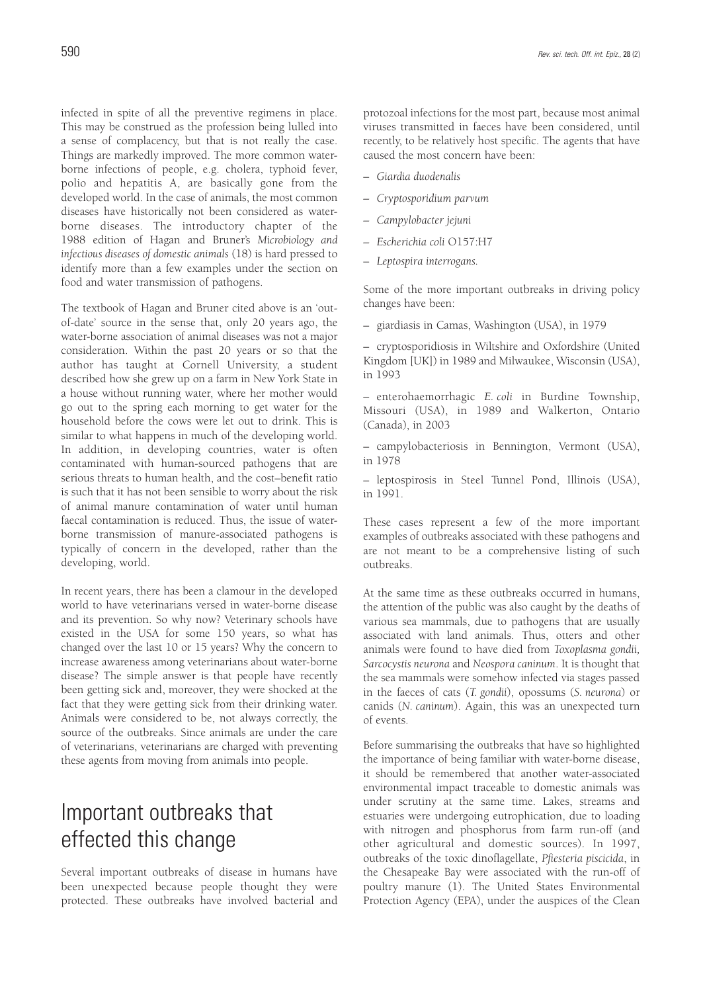infected in spite of all the preventive regimens in place. This may be construed as the profession being lulled into a sense of complacency, but that is not really the case. Things are markedly improved. The more common waterborne infections of people, e.g. cholera, typhoid fever, polio and hepatitis A, are basically gone from the developed world. In the case of animals, the most common diseases have historically not been considered as waterborne diseases. The introductory chapter of the 1988 edition of Hagan and Bruner's *Microbiology and infectious diseases of domestic animals* (18) is hard pressed to identify more than a few examples under the section on food and water transmission of pathogens.

The textbook of Hagan and Bruner cited above is an 'outof-date' source in the sense that, only 20 years ago, the water-borne association of animal diseases was not a major consideration. Within the past 20 years or so that the author has taught at Cornell University, a student described how she grew up on a farm in New York State in a house without running water, where her mother would go out to the spring each morning to get water for the household before the cows were let out to drink. This is similar to what happens in much of the developing world. In addition, in developing countries, water is often contaminated with human-sourced pathogens that are serious threats to human health, and the cost–benefit ratio is such that it has not been sensible to worry about the risk of animal manure contamination of water until human faecal contamination is reduced. Thus, the issue of waterborne transmission of manure-associated pathogens is typically of concern in the developed, rather than the developing, world.

In recent years, there has been a clamour in the developed world to have veterinarians versed in water-borne disease and its prevention. So why now? Veterinary schools have existed in the USA for some 150 years, so what has changed over the last 10 or 15 years? Why the concern to increase awareness among veterinarians about water-borne disease? The simple answer is that people have recently been getting sick and, moreover, they were shocked at the fact that they were getting sick from their drinking water. Animals were considered to be, not always correctly, the source of the outbreaks. Since animals are under the care of veterinarians, veterinarians are charged with preventing these agents from moving from animals into people.

# Important outbreaks that effected this change

Several important outbreaks of disease in humans have been unexpected because people thought they were protected. These outbreaks have involved bacterial and

protozoal infections for the most part, because most animal viruses transmitted in faeces have been considered, until recently, to be relatively host specific. The agents that have caused the most concern have been:

- *Giardia duodenalis*
- *Cryptosporidium parvum*
- *Campylobacter jejuni*
- *Escherichia coli* O157:H7
- *Leptospira interrogans.*

Some of the more important outbreaks in driving policy changes have been:

– giardiasis in Camas, Washington (USA), in 1979

– cryptosporidiosis in Wiltshire and Oxfordshire (United Kingdom [UK]) in 1989 and Milwaukee, Wisconsin (USA), in 1993

– enterohaemorrhagic *E. coli* in Burdine Township, Missouri (USA), in 1989 and Walkerton, Ontario (Canada), in 2003

– campylobacteriosis in Bennington, Vermont (USA), in 1978

– leptospirosis in Steel Tunnel Pond, Illinois (USA), in 1991.

These cases represent a few of the more important examples of outbreaks associated with these pathogens and are not meant to be a comprehensive listing of such outbreaks.

At the same time as these outbreaks occurred in humans, the attention of the public was also caught by the deaths of various sea mammals, due to pathogens that are usually associated with land animals. Thus, otters and other animals were found to have died from *Toxoplasma gondii, Sarcocystis neurona* and *Neospora caninum*. It is thought that the sea mammals were somehow infected via stages passed in the faeces of cats (*T. gondii*), opossums (*S. neurona*) or canids (*N. caninum*). Again, this was an unexpected turn of events.

Before summarising the outbreaks that have so highlighted the importance of being familiar with water-borne disease, it should be remembered that another water-associated environmental impact traceable to domestic animals was under scrutiny at the same time. Lakes, streams and estuaries were undergoing eutrophication, due to loading with nitrogen and phosphorus from farm run-off (and other agricultural and domestic sources). In 1997, outbreaks of the toxic dinoflagellate, *Pfiesteria piscicida*, in the Chesapeake Bay were associated with the run-off of poultry manure (1). The United States Environmental Protection Agency (EPA), under the auspices of the Clean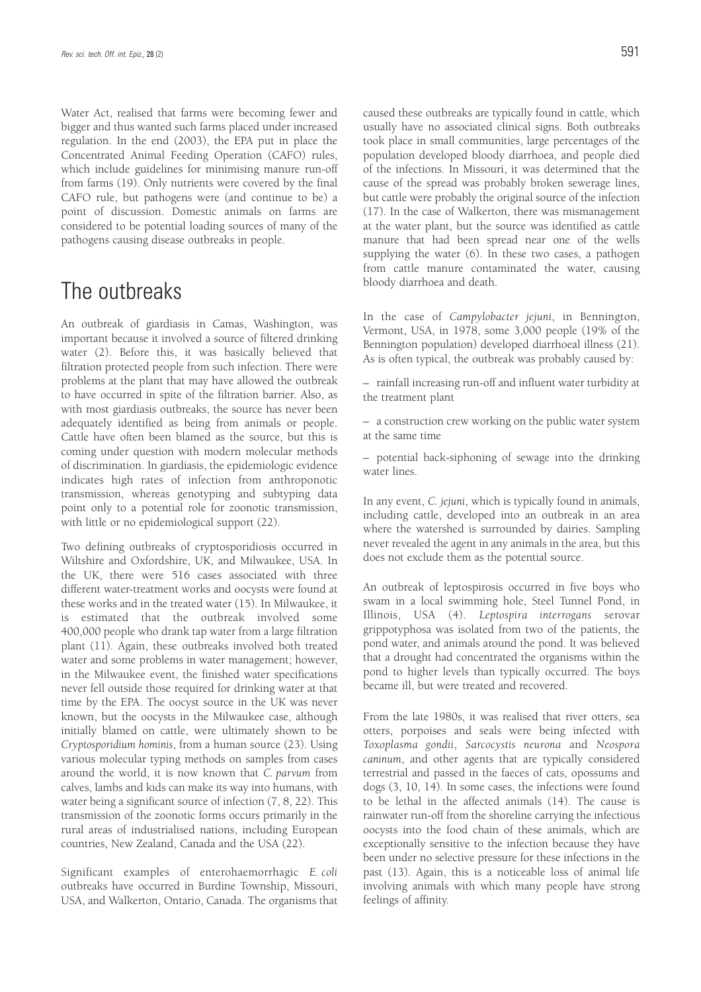Water Act, realised that farms were becoming fewer and bigger and thus wanted such farms placed under increased regulation. In the end (2003), the EPA put in place the Concentrated Animal Feeding Operation (CAFO) rules, which include guidelines for minimising manure run-off from farms (19). Only nutrients were covered by the final CAFO rule, but pathogens were (and continue to be) a point of discussion. Domestic animals on farms are considered to be potential loading sources of many of the pathogens causing disease outbreaks in people.

### The outbreaks

An outbreak of giardiasis in Camas, Washington, was important because it involved a source of filtered drinking water (2). Before this, it was basically believed that filtration protected people from such infection. There were problems at the plant that may have allowed the outbreak to have occurred in spite of the filtration barrier. Also, as with most giardiasis outbreaks, the source has never been adequately identified as being from animals or people. Cattle have often been blamed as the source, but this is coming under question with modern molecular methods of discrimination. In giardiasis, the epidemiologic evidence indicates high rates of infection from anthroponotic transmission, whereas genotyping and subtyping data point only to a potential role for zoonotic transmission, with little or no epidemiological support (22).

Two defining outbreaks of cryptosporidiosis occurred in Wiltshire and Oxfordshire, UK, and Milwaukee, USA. In the UK, there were 516 cases associated with three different water-treatment works and oocysts were found at these works and in the treated water (15). In Milwaukee, it is estimated that the outbreak involved some 400,000 people who drank tap water from a large filtration plant (11). Again, these outbreaks involved both treated water and some problems in water management; however, in the Milwaukee event, the finished water specifications never fell outside those required for drinking water at that time by the EPA. The oocyst source in the UK was never known, but the oocysts in the Milwaukee case, although initially blamed on cattle, were ultimately shown to be *Cryptosporidium hominis*, from a human source (23). Using various molecular typing methods on samples from cases around the world, it is now known that *C. parvum* from calves, lambs and kids can make its way into humans, with water being a significant source of infection (7, 8, 22). This transmission of the zoonotic forms occurs primarily in the rural areas of industrialised nations, including European countries, New Zealand, Canada and the USA (22).

Significant examples of enterohaemorrhagic *E. coli* outbreaks have occurred in Burdine Township, Missouri, USA, and Walkerton, Ontario, Canada. The organisms that caused these outbreaks are typically found in cattle, which usually have no associated clinical signs. Both outbreaks took place in small communities, large percentages of the population developed bloody diarrhoea, and people died of the infections. In Missouri, it was determined that the cause of the spread was probably broken sewerage lines, but cattle were probably the original source of the infection (17). In the case of Walkerton, there was mismanagement at the water plant, but the source was identified as cattle manure that had been spread near one of the wells supplying the water (6). In these two cases, a pathogen from cattle manure contaminated the water, causing bloody diarrhoea and death.

In the case of *Campylobacter jejuni*, in Bennington, Vermont, USA, in 1978, some 3,000 people (19% of the Bennington population) developed diarrhoeal illness (21). As is often typical, the outbreak was probably caused by:

– rainfall increasing run-off and influent water turbidity at the treatment plant

– a construction crew working on the public water system at the same time

– potential back-siphoning of sewage into the drinking water lines.

In any event, *C. jejuni*, which is typically found in animals, including cattle, developed into an outbreak in an area where the watershed is surrounded by dairies. Sampling never revealed the agent in any animals in the area, but this does not exclude them as the potential source.

An outbreak of leptospirosis occurred in five boys who swam in a local swimming hole, Steel Tunnel Pond, in Illinois, USA (4). *Leptospira interrogans* serovar grippotyphosa was isolated from two of the patients, the pond water, and animals around the pond. It was believed that a drought had concentrated the organisms within the pond to higher levels than typically occurred. The boys became ill, but were treated and recovered.

From the late 1980s, it was realised that river otters, sea otters, porpoises and seals were being infected with *Toxoplasma gondii*, *Sarcocystis neurona* and *Neospora caninum*, and other agents that are typically considered terrestrial and passed in the faeces of cats, opossums and dogs (3, 10, 14). In some cases, the infections were found to be lethal in the affected animals (14). The cause is rainwater run-off from the shoreline carrying the infectious oocysts into the food chain of these animals, which are exceptionally sensitive to the infection because they have been under no selective pressure for these infections in the past (13). Again, this is a noticeable loss of animal life involving animals with which many people have strong feelings of affinity.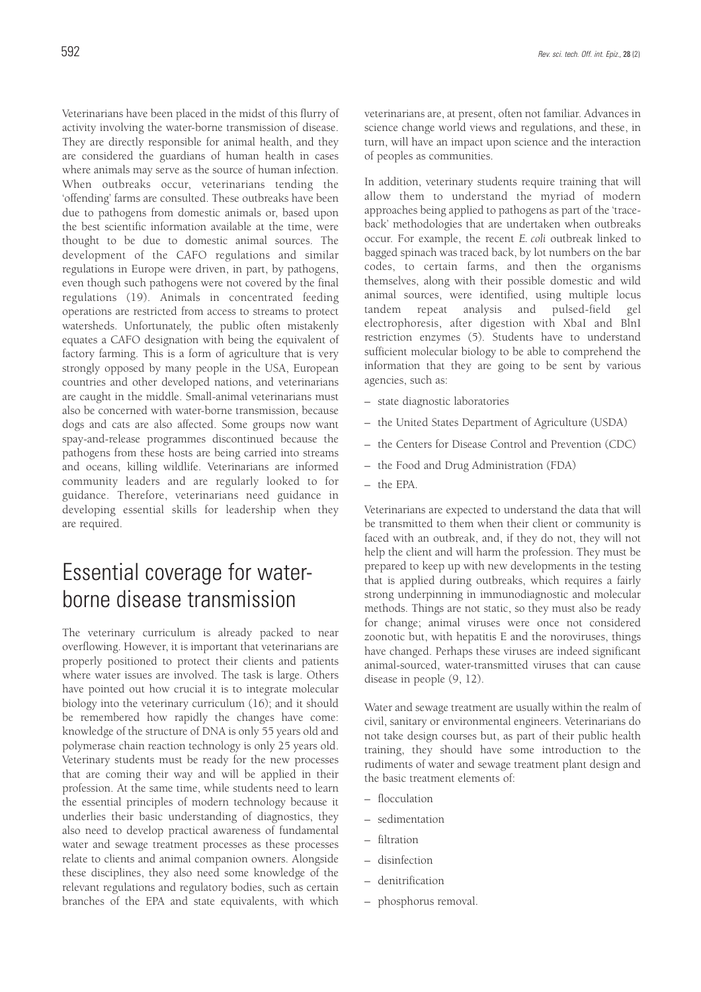Veterinarians have been placed in the midst of this flurry of activity involving the water-borne transmission of disease. They are directly responsible for animal health, and they are considered the guardians of human health in cases where animals may serve as the source of human infection. When outbreaks occur, veterinarians tending the 'offending' farms are consulted. These outbreaks have been due to pathogens from domestic animals or, based upon the best scientific information available at the time, were thought to be due to domestic animal sources. The development of the CAFO regulations and similar regulations in Europe were driven, in part, by pathogens, even though such pathogens were not covered by the final regulations (19). Animals in concentrated feeding operations are restricted from access to streams to protect watersheds. Unfortunately, the public often mistakenly equates a CAFO designation with being the equivalent of factory farming. This is a form of agriculture that is very strongly opposed by many people in the USA, European countries and other developed nations, and veterinarians are caught in the middle. Small-animal veterinarians must also be concerned with water-borne transmission, because dogs and cats are also affected. Some groups now want spay-and-release programmes discontinued because the pathogens from these hosts are being carried into streams and oceans, killing wildlife. Veterinarians are informed community leaders and are regularly looked to for guidance. Therefore, veterinarians need guidance in developing essential skills for leadership when they are required.

# Essential coverage for waterborne disease transmission

The veterinary curriculum is already packed to near overflowing. However, it is important that veterinarians are properly positioned to protect their clients and patients where water issues are involved. The task is large. Others have pointed out how crucial it is to integrate molecular biology into the veterinary curriculum (16); and it should be remembered how rapidly the changes have come: knowledge of the structure of DNA is only 55 years old and polymerase chain reaction technology is only 25 years old. Veterinary students must be ready for the new processes that are coming their way and will be applied in their profession. At the same time, while students need to learn the essential principles of modern technology because it underlies their basic understanding of diagnostics, they also need to develop practical awareness of fundamental water and sewage treatment processes as these processes relate to clients and animal companion owners. Alongside these disciplines, they also need some knowledge of the relevant regulations and regulatory bodies, such as certain branches of the EPA and state equivalents, with which veterinarians are, at present, often not familiar. Advances in science change world views and regulations, and these, in turn, will have an impact upon science and the interaction of peoples as communities.

In addition, veterinary students require training that will allow them to understand the myriad of modern approaches being applied to pathogens as part of the 'traceback' methodologies that are undertaken when outbreaks occur. For example, the recent *E. coli* outbreak linked to bagged spinach was traced back, by lot numbers on the bar codes, to certain farms, and then the organisms themselves, along with their possible domestic and wild animal sources, were identified, using multiple locus tandem repeat analysis and pulsed-field gel electrophoresis, after digestion with XbaI and BlnI restriction enzymes (5). Students have to understand sufficient molecular biology to be able to comprehend the information that they are going to be sent by various agencies, such as:

- state diagnostic laboratories
- the United States Department of Agriculture (USDA)
- the Centers for Disease Control and Prevention (CDC)
- the Food and Drug Administration (FDA)
- the EPA.

Veterinarians are expected to understand the data that will be transmitted to them when their client or community is faced with an outbreak, and, if they do not, they will not help the client and will harm the profession. They must be prepared to keep up with new developments in the testing that is applied during outbreaks, which requires a fairly strong underpinning in immunodiagnostic and molecular methods. Things are not static, so they must also be ready for change; animal viruses were once not considered zoonotic but, with hepatitis E and the noroviruses, things have changed. Perhaps these viruses are indeed significant animal-sourced, water-transmitted viruses that can cause disease in people (9, 12).

Water and sewage treatment are usually within the realm of civil, sanitary or environmental engineers. Veterinarians do not take design courses but, as part of their public health training, they should have some introduction to the rudiments of water and sewage treatment plant design and the basic treatment elements of:

- flocculation
- sedimentation
- filtration
- disinfection
- denitrification
- phosphorus removal.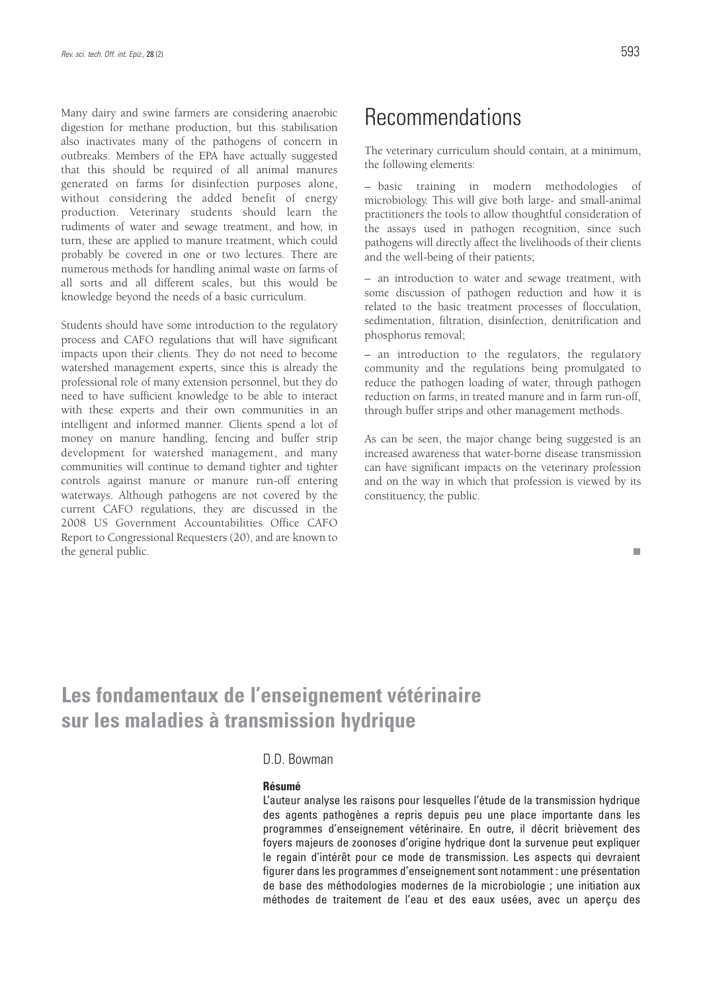Many dairy and swine farmers are considering anaerobic digestion for methane production, but this stabilisation also inactivates many of the pathogens of concern in outbreaks. Members of the EPA have actually suggested that this should be required of all animal manures generated on farms for disinfection purposes alone, without considering the added benefit of energy production. Veterinary students should learn the rudiments of water and sewage treatment, and how, in turn, these are applied to manure treatment, which could probably be covered in one or two lectures. There are numerous methods for handling animal waste on farms of all sorts and all different scales, but this would be knowledge beyond the needs of a basic curriculum.

Students should have some introduction to the regulatory process and CAFO regulations that will have significant impacts upon their clients. They do not need to become watershed management experts, since this is already the professional role of many extension personnel, but they do need to have sufficient knowledge to be able to interact with these experts and their own communities in an intelligent and informed manner. Clients spend a lot of money on manure handling, fencing and buffer strip development for watershed management, and many communities will continue to demand tighter and tighter controls against manure or manure run-off entering waterways. Although pathogens are not covered by the current CAFO regulations, they are discussed in the 2008 US Government Accountabilities Office CAFO Report to Congressional Requesters (20), and are known to the general public.

### Recommendations

The veterinary curriculum should contain, at a minimum, the following elements:

– basic training in modern methodologies of microbiology. This will give both large- and small-animal practitioners the tools to allow thoughtful consideration of the assays used in pathogen recognition, since such pathogens will directly affect the livelihoods of their clients and the well-being of their patients;

– an introduction to water and sewage treatment, with some discussion of pathogen reduction and how it is related to the basic treatment processes of flocculation, sedimentation, filtration, disinfection, denitrification and phosphorus removal;

– an introduction to the regulators, the regulatory community and the regulations being promulgated to reduce the pathogen loading of water, through pathogen reduction on farms, in treated manure and in farm run-off, through buffer strips and other management methods.

As can be seen, the major change being suggested is an increased awareness that water-borne disease transmission can have significant impacts on the veterinary profession and on the way in which that profession is viewed by its constituency, the public.

### **Les fondamentaux de l'enseignement vétérinaire sur les maladies à transmission hydrique**

#### D.D. Bowman

#### **Résumé**

L'auteur analyse les raisons pour lesquelles l'étude de la transmission hydrique des agents pathogènes a repris depuis peu une place importante dans les programmes d'enseignement vétérinaire. En outre, il décrit brièvement des foyers majeurs de zoonoses d'origine hydrique dont la survenue peut expliquer le regain d'intérêt pour ce mode de transmission. Les aspects qui devraient figurer dans les programmes d'enseignement sont notamment : une présentation de base des méthodologies modernes de la microbiologie ; une initiation aux méthodes de traitement de l'eau et des eaux usées, avec un aperçu des

п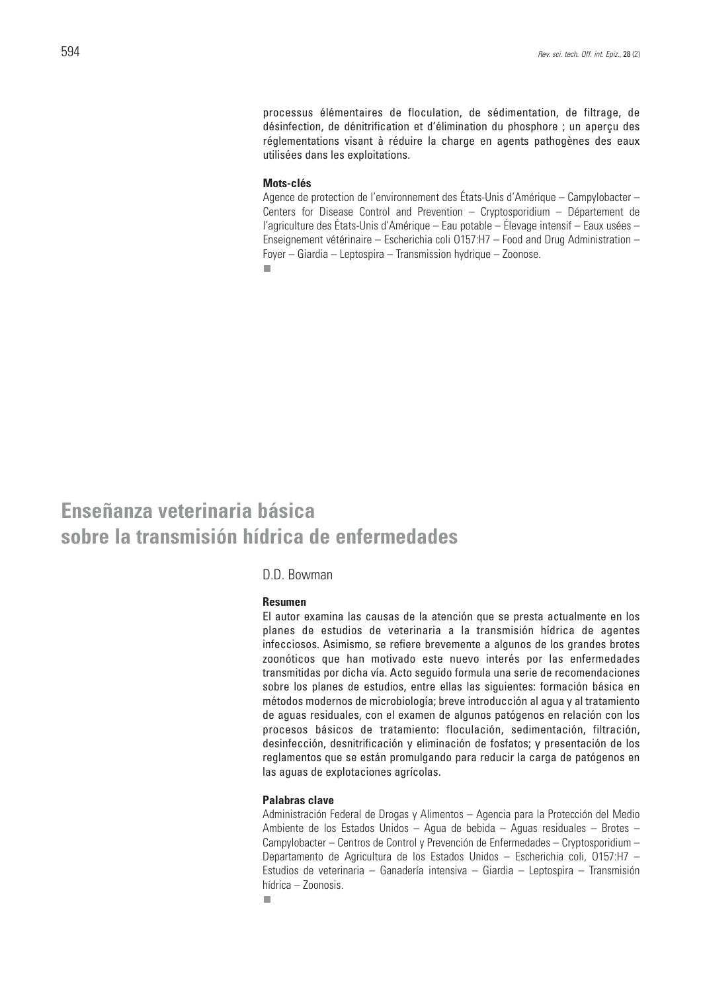processus élémentaires de floculation, de sédimentation, de filtrage, de désinfection, de dénitrification et d'élimination du phosphore ; un aperçu des réglementations visant à réduire la charge en agents pathogènes des eaux utilisées dans les exploitations.

#### **Mots-clés**

Agence de protection de l'environnement des États-Unis d'Amérique – Campylobacter – Centers for Disease Control and Prevention – Cryptosporidium – Département de l'agriculture des États-Unis d'Amérique – Eau potable – Élevage intensif – Eaux usées – Enseignement vétérinaire – Escherichia coli O157:H7 – Food and Drug Administration – Foyer – Giardia – Leptospira – Transmission hydrique – Zoonose.  $\overline{\phantom{a}}$ 

### **Enseñanza veterinaria básica sobre la transmisión hídrica de enfermedades**

### D.D. Bowman

#### **Resumen**

El autor examina las causas de la atención que se presta actualmente en los planes de estudios de veterinaria a la transmisión hídrica de agentes infecciosos. Asimismo, se refiere brevemente a algunos de los grandes brotes zoonóticos que han motivado este nuevo interés por las enfermedades transmitidas por dicha vía. Acto seguido formula una serie de recomendaciones sobre los planes de estudios, entre ellas las siguientes: formación básica en métodos modernos de microbiología; breve introducción al agua y al tratamiento de aguas residuales, con el examen de algunos patógenos en relación con los procesos básicos de tratamiento: floculación, sedimentación, filtración, desinfección, desnitrificación y eliminación de fosfatos; y presentación de los reglamentos que se están promulgando para reducir la carga de patógenos en las aguas de explotaciones agrícolas.

#### **Palabras clave**

Administración Federal de Drogas y Alimentos – Agencia para la Protección del Medio Ambiente de los Estados Unidos – Agua de bebida – Aguas residuales – Brotes – Campylobacter – Centros de Control y Prevención de Enfermedades – Cryptosporidium – Departamento de Agricultura de los Estados Unidos – Escherichia coli, O157:H7 – Estudios de veterinaria – Ganadería intensiva – Giardia – Leptospira – Transmisión hídrica – Zoonosis.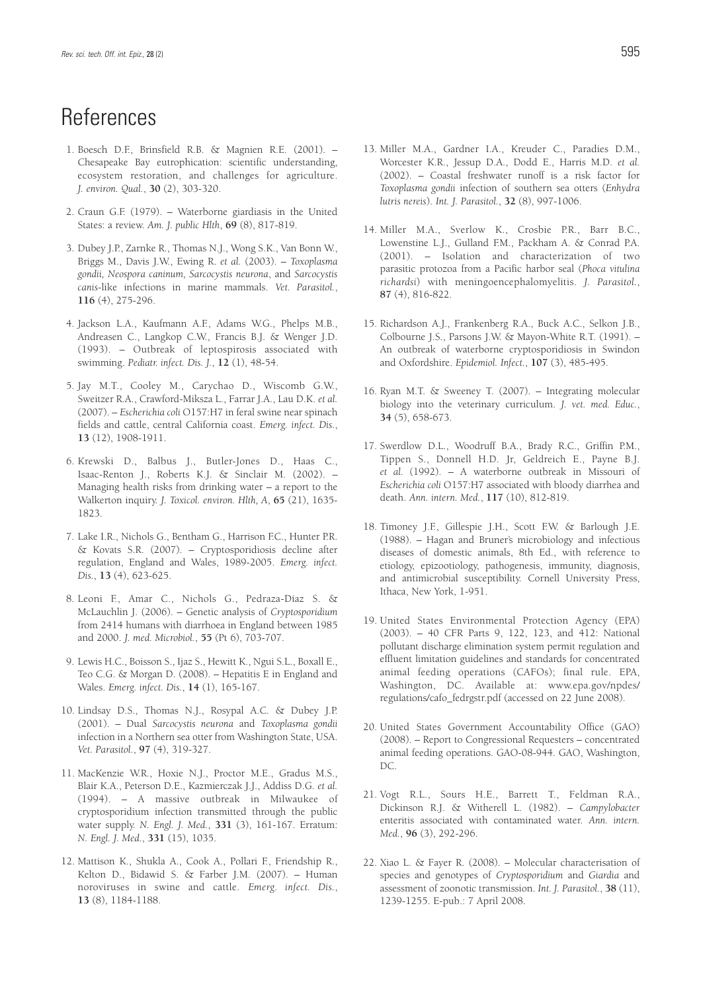## **References**

- 1. Boesch D.F., Brinsfield R.B. & Magnien R.E. (2001). Chesapeake Bay eutrophication: scientific understanding, ecosystem restoration, and challenges for agriculture. *J. environ. Qual.*, **30** (2), 303-320.
- 2. Craun G.F. (1979). Waterborne giardiasis in the United States: a review. *Am. J. public Hlth*, **69** (8), 817-819.
- 3. Dubey J.P., Zarnke R., Thomas N.J., Wong S.K., Van Bonn W., Briggs M., Davis J.W., Ewing R. *et al.* (2003). – *Toxoplasma gondii, Neospora caninum, Sarcocystis neurona*, and *Sarcocystis canis*-like infections in marine mammals. *Vet. Parasitol.*, **116** (4), 275-296.
- 4. Jackson L.A., Kaufmann A.F., Adams W.G., Phelps M.B., Andreasen C., Langkop C.W., Francis B.J. & Wenger J.D. (1993). – Outbreak of leptospirosis associated with swimming. *Pediatr. infect. Dis. J.*, **12** (1), 48-54.
- 5. Jay M.T., Cooley M., Carychao D., Wiscomb G.W., Sweitzer R.A., Crawford-Miksza L., Farrar J.A., Lau D.K. *et al.* (2007). – *Escherichia coli* O157:H7 in feral swine near spinach fields and cattle, central California coast. *Emerg. infect. Dis.*, **13** (12), 1908-1911.
- 6. Krewski D., Balbus J., Butler-Jones D., Haas C., Isaac-Renton J., Roberts K.J. & Sinclair M. (2002). – Managing health risks from drinking water – a report to the Walkerton inquiry. *J. Toxicol. environ. Hlth, A*, **65** (21), 1635- 1823.
- 7. Lake I.R., Nichols G., Bentham G., Harrison F.C., Hunter P.R. & Kovats S.R. (2007). – Cryptosporidiosis decline after regulation, England and Wales, 1989-2005. *Emerg. infect. Dis.*, **13** (4), 623-625.
- 8. Leoni F., Amar C., Nichols G., Pedraza-Díaz S. & McLauchlin J. (2006). – Genetic analysis of *Cryptosporidium* from 2414 humans with diarrhoea in England between 1985 and 2000. *J. med. Microbiol.*, **55** (Pt 6), 703-707.
- 9. Lewis H.C., Boisson S., Ijaz S., Hewitt K., Ngui S.L., Boxall E., Teo C.G. & Morgan D. (2008). – Hepatitis E in England and Wales. *Emerg. infect. Dis.*, **14** (1), 165-167.
- 10. Lindsay D.S., Thomas N.J., Rosypal A.C. & Dubey J.P. (2001). – Dual *Sarcocystis neurona* and *Toxoplasma gondii* infection in a Northern sea otter from Washington State, USA. *Vet. Parasitol.*, **97** (4), 319-327.
- 11. MacKenzie W.R., Hoxie N.J., Proctor M.E., Gradus M.S., Blair K.A., Peterson D.E., Kazmierczak J.J., Addiss D.G. *et al.* (1994). – A massive outbreak in Milwaukee of cryptosporidium infection transmitted through the public water supply. *N. Engl. J. Med.*, **331** (3), 161-167. Erratum: *N. Engl. J. Med.*, **331** (15), 1035.
- 12. Mattison K., Shukla A., Cook A., Pollari F., Friendship R., Kelton D., Bidawid S. & Farber J.M. (2007). – Human noroviruses in swine and cattle. *Emerg. infect. Dis.*, **13** (8), 1184-1188.
- 13. Miller M.A., Gardner I.A., Kreuder C., Paradies D.M., Worcester K.R., Jessup D.A., Dodd E., Harris M.D. *et al.* (2002). – Coastal freshwater runoff is a risk factor for *Toxoplasma gondii* infection of southern sea otters (*Enhydra lutris nereis*). *Int. J. Parasitol.*, **32** (8), 997-1006.
- 14. Miller M.A., Sverlow K., Crosbie P.R., Barr B.C., Lowenstine L.J., Gulland F.M., Packham A. & Conrad P.A. (2001). – Isolation and characterization of two parasitic protozoa from a Pacific harbor seal (*Phoca vitulina richardsi*) with meningoencephalomyelitis. *J. Parasitol.*, **87** (4), 816-822.
- 15. Richardson A.J., Frankenberg R.A., Buck A.C., Selkon J.B., Colbourne J.S., Parsons J.W. & Mayon-White R.T. (1991). – An outbreak of waterborne cryptosporidiosis in Swindon and Oxfordshire. *Epidemiol. Infect.*, **107** (3), 485-495.
- 16. Ryan M.T. & Sweeney T. (2007). Integrating molecular biology into the veterinary curriculum. *J. vet. med. Educ.*, **34** (5), 658-673.
- 17. Swerdlow D.L., Woodruff B.A., Brady R.C., Griffin P.M., Tippen S., Donnell H.D. Jr, Geldreich E., Payne B.J. *et al.* (1992). – A waterborne outbreak in Missouri of *Escherichia coli* O157:H7 associated with bloody diarrhea and death. *Ann. intern. Med.*, **117** (10), 812-819.
- 18. Timoney J.F., Gillespie J.H., Scott F.W. & Barlough J.E. (1988). – Hagan and Bruner's microbiology and infectious diseases of domestic animals, 8th Ed., with reference to etiology, epizootiology, pathogenesis, immunity, diagnosis, and antimicrobial susceptibility. Cornell University Press, Ithaca, New York, 1-951.
- 19. United States Environmental Protection Agency (EPA) (2003). – 40 CFR Parts 9, 122, 123, and 412: National pollutant discharge elimination system permit regulation and effluent limitation guidelines and standards for concentrated animal feeding operations (CAFOs); final rule. EPA, Washington, DC. Available at: www.epa.gov/npdes/ regulations/cafo\_fedrgstr.pdf (accessed on 22 June 2008).
- 20. United States Government Accountability Office (GAO) (2008). – Report to Congressional Requesters – concentrated animal feeding operations. GAO-08-944. GAO, Washington, DC.
- 21. Vogt R.L., Sours H.E., Barrett T., Feldman R.A., Dickinson R.J. & Witherell L. (1982). – *Campylobacter* enteritis associated with contaminated water. *Ann. intern. Med.*, **96** (3), 292-296.
- 22. Xiao L. & Fayer R. (2008). Molecular characterisation of species and genotypes of *Cryptosporidium* and *Giardia* and assessment of zoonotic transmission. *Int. J. Parasitol.*, **38** (11), 1239-1255. E-pub.: 7 April 2008.